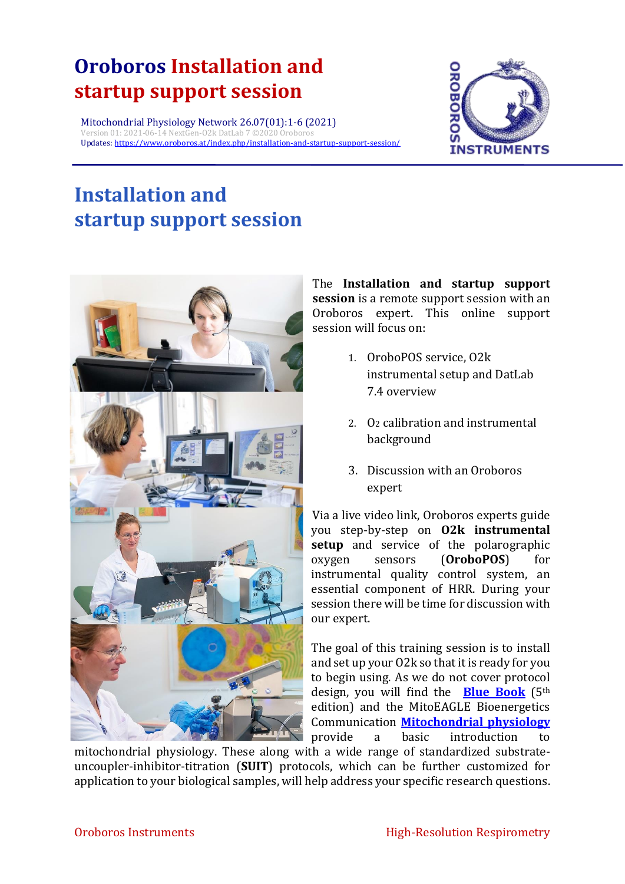## **Oroboros Installation and startup support session**

Mitochondrial Physiology Network 26.07(01):1-6 (2021) Version 01: 2021-06-14 NextGen-O2k DatLab 7 ©2020 Oroboros Updates: <https://www.oroboros.at/index.php/installation-and-startup-support-session/>



# **Installation and startup support session**



The **Installation and startup support session** is a remote support session with an Oroboros expert. This online support session will focus on:

- 1. OroboPOS service, O2k instrumental setup and DatLab 7.4 overview
- 2. O<sup>2</sup> calibration and instrumental background
- 3. Discussion with an Oroboros expert

Via a live video link, Oroboros experts guide you step-by-step on **O2k instrumental setup** and service of the polarographic oxygen sensors (**OroboPOS**) for instrumental quality control system, an essential component of HRR. During your session there will be time for discussion with our expert.

The goal of this training session is to install and set up your O2k so that it is ready for you to begin using. As we do not cover protocol design, you will find the **[Blue Book](https://wiki.oroboros.at/index.php/Gnaiger_2020_BEC_MitoPathways)** (5th edition) and the MitoEAGLE Bioenergetics Communication **[Mitochondrial physiology](https://www.bioblast.at/index.php/BEC_2020.1_doi10.26124bec2020-0001.v1)** provide a basic introduction to

mitochondrial physiology. These along with a wide range of standardized substrateuncoupler-inhibitor-titration (**SUIT**) protocols, which can be further customized for application to your biological samples, will help address your specific research questions.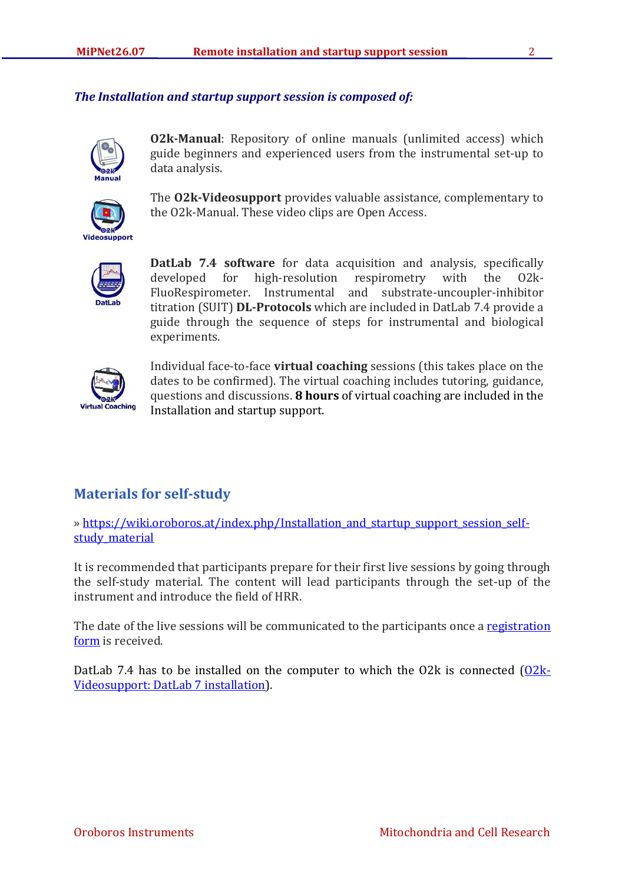#### *The Installation and startup support session is composed of:*



**O2k-Manual**: Repository of online manuals (unlimited access) which guide beginners and experienced users from the instrumental set-up to data analysis.



The **O2k-Videosupport** provides valuable assistance, complementary to the O2k-Manual. These video clips are Open Access.



**DatLab 7.4 software** for data acquisition and analysis, specifically developed for high-resolution respirometry with the O2k-FluoRespirometer. Instrumental and substrate-uncoupler-inhibitor titration (SUIT) **DL-Protocols** which are included in DatLab 7.4 provide a guide through the sequence of steps for instrumental and biological experiments.



Individual face-to-face **virtual coaching** sessions (this takes place on the dates to be confirmed). The virtual coaching includes tutoring, guidance, questions and discussions. **8 hours** of virtual coaching are included in the Installation and startup support.

## **Materials for self-study**

» https://wiki.oroboros.at/index.php/Installation and startup support session selfstudy material

It is recommended that participants prepare for their first live sessions by going through the self-study material. The content will lead participants through the set-up of the instrument and introduce the field of HRR.

The date of the live sessions will be communicated to the participants once a registration [form](https://www.oroboros.at/index.php/support-session-request-form/) is received.

DatLab 7.4 has to be installed on the computer to which the O2k is connected  $(0.2k-$ [Videosupport: DatLab 7 installation\)](https://www.youtube.com/watch?v=H1NZbLI_fuQ&list=PLT4umseflf-m6O1sApyn9doi8vHNAKaIs&index=3&t=0s).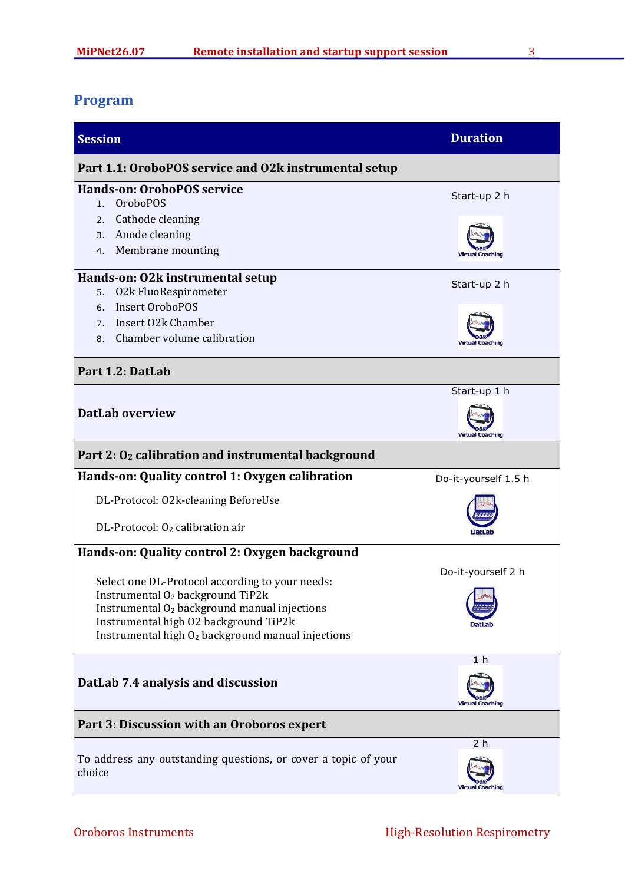## **Program**

| <b>Session</b>                                                 |                                                                                           | <b>Duration</b>                           |  |
|----------------------------------------------------------------|-------------------------------------------------------------------------------------------|-------------------------------------------|--|
| Part 1.1: OroboPOS service and O2k instrumental setup          |                                                                                           |                                           |  |
|                                                                | <b>Hands-on: OroboPOS service</b>                                                         | Start-up 2 h                              |  |
| 1.                                                             | <b>OroboPOS</b>                                                                           |                                           |  |
| 2.                                                             | Cathode cleaning                                                                          |                                           |  |
| 3.                                                             | Anode cleaning                                                                            |                                           |  |
| 4.                                                             | Membrane mounting                                                                         |                                           |  |
| Hands-on: 02k instrumental setup<br>Start-up 2 h               |                                                                                           |                                           |  |
| 5.                                                             | 02k FluoRespirometer                                                                      |                                           |  |
| 6.                                                             | <b>Insert OroboPOS</b>                                                                    |                                           |  |
| 7.                                                             | Insert 02k Chamber                                                                        |                                           |  |
| 8.                                                             | Chamber volume calibration                                                                |                                           |  |
| Part 1.2: DatLab                                               |                                                                                           |                                           |  |
|                                                                |                                                                                           | Start-up 1 h                              |  |
|                                                                | <b>DatLab overview</b>                                                                    | <b>Virtual Coaching</b>                   |  |
| Part 2: O <sub>2</sub> calibration and instrumental background |                                                                                           |                                           |  |
|                                                                | Hands-on: Quality control 1: Oxygen calibration                                           | Do-it-yourself 1.5 h                      |  |
|                                                                | DL-Protocol: O2k-cleaning BeforeUse                                                       |                                           |  |
|                                                                | DL-Protocol: O <sub>2</sub> calibration air                                               |                                           |  |
| Hands-on: Quality control 2: Oxygen background                 |                                                                                           |                                           |  |
|                                                                |                                                                                           | Do-it-yourself 2 h                        |  |
|                                                                | Select one DL-Protocol according to your needs:                                           |                                           |  |
|                                                                | Instrumental $O_2$ background TiP2 $k$<br>Instrumental $O_2$ background manual injections |                                           |  |
|                                                                | Instrumental high O2 background TiP2k                                                     |                                           |  |
|                                                                | Instrumental high O <sub>2</sub> background manual injections                             |                                           |  |
|                                                                |                                                                                           | 1 <sub>h</sub>                            |  |
| DatLab 7.4 analysis and discussion<br>Virtual Coaching         |                                                                                           |                                           |  |
| Part 3: Discussion with an Oroboros expert                     |                                                                                           |                                           |  |
| choice                                                         | To address any outstanding questions, or cover a topic of your                            | 2 <sub>h</sub><br><b>Virtual Coaching</b> |  |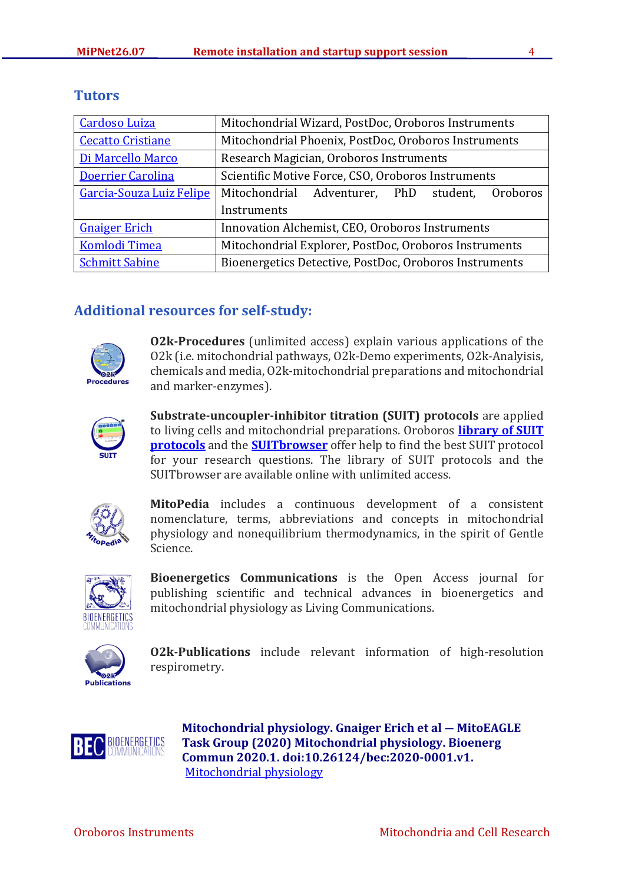| <b>Cardoso Luiza</b>     | Mitochondrial Wizard, PostDoc, Oroboros Instruments    |  |  |
|--------------------------|--------------------------------------------------------|--|--|
| <b>Cecatto Cristiane</b> | Mitochondrial Phoenix, PostDoc, Oroboros Instruments   |  |  |
| Di Marcello Marco        | Research Magician, Oroboros Instruments                |  |  |
| Doerrier Carolina        | Scientific Motive Force, CSO, Oroboros Instruments     |  |  |
| Garcia-Souza Luiz Felipe | Mitochondrial Adventurer, PhD student,<br>Oroboros     |  |  |
|                          | Instruments                                            |  |  |
| <b>Gnaiger Erich</b>     | Innovation Alchemist, CEO, Oroboros Instruments        |  |  |
| <b>Komlodi Timea</b>     | Mitochondrial Explorer, PostDoc, Oroboros Instruments  |  |  |
| <b>Schmitt Sabine</b>    | Bioenergetics Detective, PostDoc, Oroboros Instruments |  |  |

### **Tutors**

## **Additional resources for self-study:**



**O2k-Procedures** (unlimited access) explain various applications of the O2k (i.e. mitochondrial pathways, O2k-Demo experiments, O2k-Analyisis, chemicals and media, O2k-mitochondrial preparations and mitochondrial and marker-enzymes).



**Substrate-uncoupler-inhibitor titration (SUIT) protocols** are applied to living cells and mitochondrial preparations. Oroboros **[library of SUIT](https://wiki.oroboros.at/index.php/MitoPedia:_SUIT)  [protocols](https://wiki.oroboros.at/index.php/MitoPedia:_SUIT)** and the **[SUITbrowser](https://suitbrowser.oroboros.at/)** offer help to find the best SUIT protocol for your research questions. The library of SUIT protocols and the SUITbrowser are available online with unlimited access.



**MitoPedia** includes a continuous development of a consistent nomenclature, terms, abbreviations and concepts in mitochondrial physiology and nonequilibrium thermodynamics, in the spirit of Gentle Science.



**Bioenergetics Communications** is the Open Access journal for publishing scientific and technical advances in bioenergetics and mitochondrial physiology as Living Communications.



**O2k-Publications** include relevant information of high-resolution respirometry.



**Mitochondrial physiology. Gnaiger Erich et al ― MitoEAGLE Task Group (2020) Mitochondrial physiology. Bioenerg Commun 2020.1. doi:10.26124/bec:2020-0001.v1.** [Mitochondrial physiology](https://wiki.oroboros.at/index.php/BEC_2020.1_doi10.26124bec2020-0001.v1)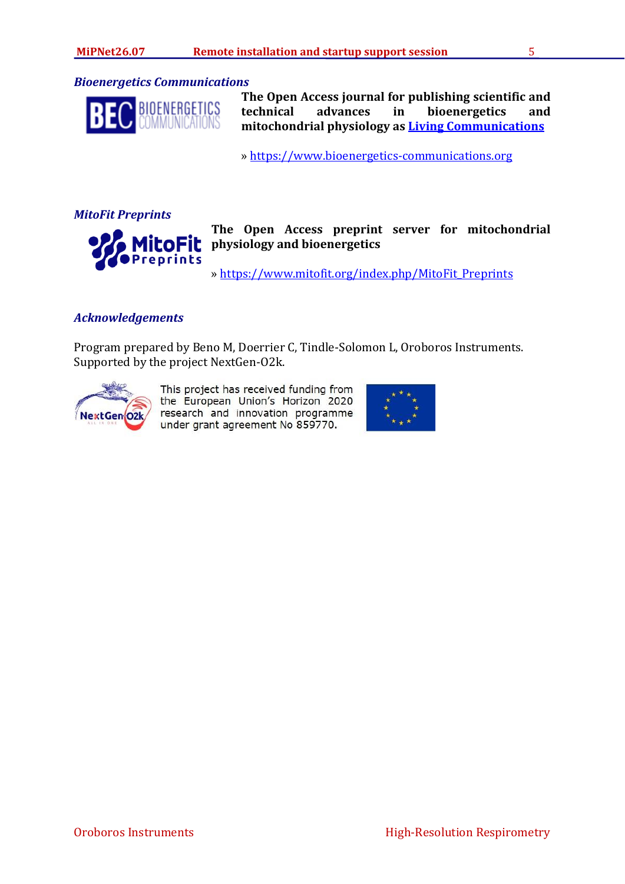#### *Bioenergetics Communications*



**The Open Access journal for publishing scientific and technical advances in bioenergetics and mitochondrial physiology as [Living Communications](https://wiki.oroboros.at/index.php/Living_Communications)**

» [https://www.bioenergetics-communications.org](https://www.bioenergetics-communications.org/)

*MitoFit Preprints*



**The Open Access preprint server for mitochondrial physiology and bioenergetics**

» [https://www.mitofit.org/index.php/MitoFit\\_Preprints](https://www.mitofit.org/index.php/MitoFit_Preprints)

#### *Acknowledgements*

Program prepared by Beno M, Doerrier C, Tindle-Solomon L, Oroboros Instruments. Supported by the project NextGen-O2k.



This project has received funding from the European Union's Horizon 2020 research and innovation programme under grant agreement No 859770.